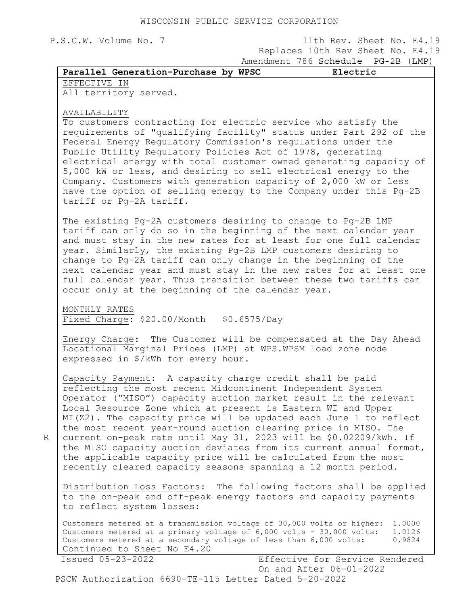P.S.C.W. Volume No. 7 11th Rev. Sheet No. E4.19 Replaces 10th Rev Sheet No. E4.19 Amendment 786 Schedule PG-2B (LMP)

EFFECTIVE IN

All territory served.

## AVAILABILITY

R

To customers contracting for electric service who satisfy the requirements of "qualifying facility" status under Part 292 of the Federal Energy Regulatory Commission's regulations under the Public Utility Regulatory Policies Act of 1978, generating electrical energy with total customer owned generating capacity of 5,000 kW or less, and desiring to sell electrical energy to the Company. Customers with generation capacity of 2,000 kW or less have the option of selling energy to the Company under this Pg-2B tariff or Pg-2A tariff.

The existing Pg-2A customers desiring to change to Pg-2B LMP tariff can only do so in the beginning of the next calendar year and must stay in the new rates for at least for one full calendar year. Similarly, the existing Pg-2B LMP customers desiring to change to Pg-2A tariff can only change in the beginning of the next calendar year and must stay in the new rates for at least one full calendar year. Thus transition between these two tariffs can occur only at the beginning of the calendar year.

MONTHLY RATES Fixed Charge: \$20.00/Month \$0.6575/Day

Energy Charge: The Customer will be compensated at the Day Ahead Locational Marginal Prices (LMP) at WPS.WPSM load zone node expressed in \$/kWh for every hour.

Capacity Payment: A capacity charge credit shall be paid reflecting the most recent Midcontinent Independent System Operator ("MISO") capacity auction market result in the relevant Local Resource Zone which at present is Eastern WI and Upper MI(Z2). The capacity price will be updated each June 1 to reflect the most recent year-round auction clearing price in MISO. The current on-peak rate until May 31, 2023 will be \$0.02209/kWh. If the MISO capacity auction deviates from its current annual format, the applicable capacity price will be calculated from the most recently cleared capacity seasons spanning a 12 month period.

Distribution Loss Factors: The following factors shall be applied to the on-peak and off-peak energy factors and capacity payments to reflect system losses:

Customers metered at a transmission voltage of 30,000 volts or higher: 1.0000 Customers metered at a cransmission voltage of 6,000 volts - 30,000 volts: 1.0126<br>Customers metered at a primary voltage of 6,000 volts - 30,000 volts: 1.0126 Customers metered at a secondary voltage of less than 6,000 volts: 0.9824 Continued to Sheet No E4.20

 Issued 05-23-2022 Effective for Service Rendered On and After 06-01-2022 PSCW Authorization 6690-TE-115 Letter Dated 5-20-2022